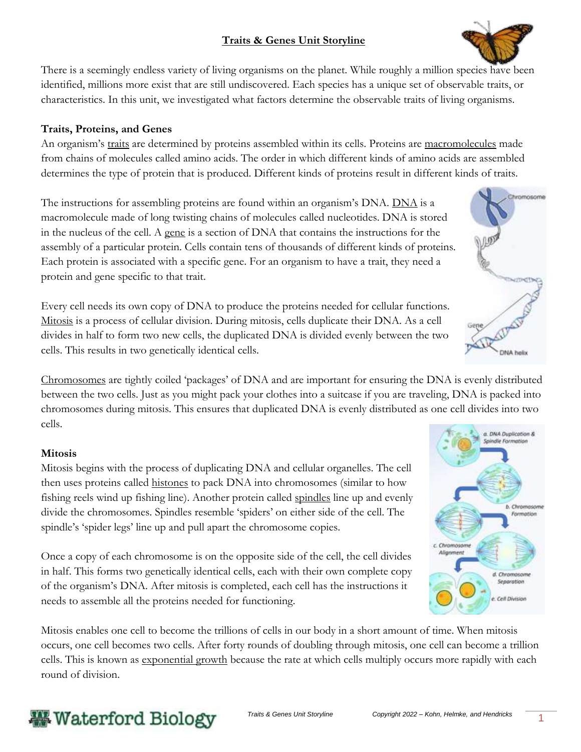## **Traits & Genes Unit Storyline**



There is a seemingly endless variety of living organisms on the planet. While roughly a million species have been identified, millions more exist that are still undiscovered. Each species has a unique set of observable traits, or characteristics. In this unit, we investigated what factors determine the observable traits of living organisms.

### **Traits, Proteins, and Genes**

An organism's traits are determined by proteins assembled within its cells. Proteins are macromolecules made from chains of molecules called amino acids. The order in which different kinds of amino acids are assembled determines the type of protein that is produced. Different kinds of proteins result in different kinds of traits.

The instructions for assembling proteins are found within an organism's DNA. DNA is a macromolecule made of long twisting chains of molecules called nucleotides. DNA is stored in the nucleus of the cell. A gene is a section of DNA that contains the instructions for the assembly of a particular protein. Cells contain tens of thousands of different kinds of proteins. Each protein is associated with a specific gene. For an organism to have a trait, they need a protein and gene specific to that trait.

Every cell needs its own copy of DNA to produce the proteins needed for cellular functions. Mitosis is a process of cellular division. During mitosis, cells duplicate their DNA. As a cell divides in half to form two new cells, the duplicated DNA is divided evenly between the two cells. This results in two genetically identical cells.

Chromosomes are tightly coiled 'packages' of DNA and are important for ensuring the DNA is evenly distributed between the two cells. Just as you might pack your clothes into a suitcase if you are traveling, DNA is packed into chromosomes during mitosis. This ensures that duplicated DNA is evenly distributed as one cell divides into two cells.

### **Mitosis**

Mitosis begins with the process of duplicating DNA and cellular organelles. The cell then uses proteins called histones to pack DNA into chromosomes (similar to how fishing reels wind up fishing line). Another protein called spindles line up and evenly divide the chromosomes. Spindles resemble 'spiders' on either side of the cell. The spindle's 'spider legs' line up and pull apart the chromosome copies.

Once a copy of each chromosome is on the opposite side of the cell, the cell divides in half. This forms two genetically identical cells, each with their own complete copy of the organism's DNA. After mitosis is completed, each cell has the instructions it needs to assemble all the proteins needed for functioning.





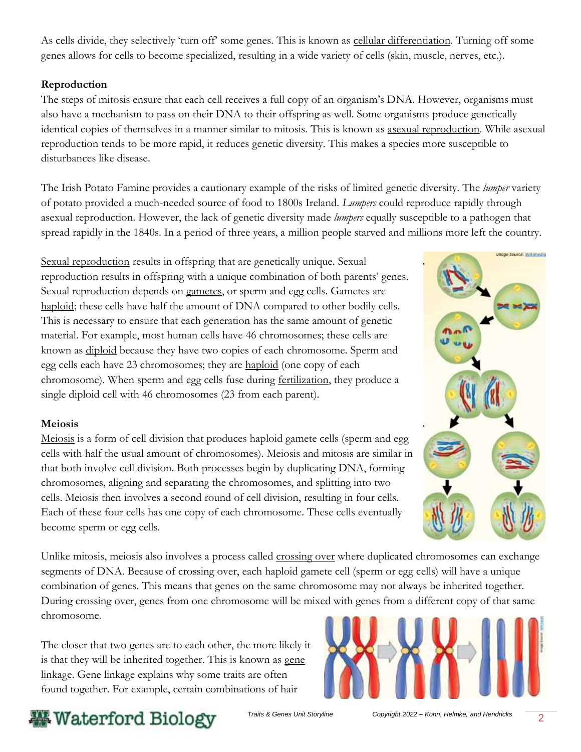As cells divide, they selectively 'turn off' some genes. This is known as cellular differentiation. Turning off some genes allows for cells to become specialized, resulting in a wide variety of cells (skin, muscle, nerves, etc.).

## **Reproduction**

The steps of mitosis ensure that each cell receives a full copy of an organism's DNA. However, organisms must also have a mechanism to pass on their DNA to their offspring as well. Some organisms produce genetically identical copies of themselves in a manner similar to mitosis. This is known as asexual reproduction. While asexual reproduction tends to be more rapid, it reduces genetic diversity. This makes a species more susceptible to disturbances like disease.

The Irish Potato Famine provides a cautionary example of the risks of limited genetic diversity. The *lumper* variety of potato provided a much-needed source of food to 1800s Ireland. *Lumpers* could reproduce rapidly through asexual reproduction. However, the lack of genetic diversity made *lumpers* equally susceptible to a pathogen that spread rapidly in the 1840s. In a period of three years, a million people starved and millions more left the country.

Sexual reproduction results in offspring that are genetically unique. Sexual reproduction results in offspring with a unique combination of both parents' genes. Sexual reproduction depends on gametes, or sperm and egg cells. Gametes are haploid; these cells have half the amount of DNA compared to other bodily cells. This is necessary to ensure that each generation has the same amount of genetic material. For example, most human cells have 46 chromosomes; these cells are known as diploid because they have two copies of each chromosome. Sperm and egg cells each have 23 chromosomes; they are haploid (one copy of each chromosome). When sperm and egg cells fuse during fertilization, they produce a single diploid cell with 46 chromosomes (23 from each parent).

### **Meiosis**

Meiosis is a form of cell division that produces haploid gamete cells (sperm and egg cells with half the usual amount of chromosomes). Meiosis and mitosis are similar in that both involve cell division. Both processes begin by duplicating DNA, forming chromosomes, aligning and separating the chromosomes, and splitting into two cells. Meiosis then involves a second round of cell division, resulting in four cells. Each of these four cells has one copy of each chromosome. These cells eventually become sperm or egg cells.



Unlike mitosis, meiosis also involves a process called crossing over where duplicated chromosomes can exchange segments of DNA. Because of crossing over, each haploid gamete cell (sperm or egg cells) will have a unique combination of genes. This means that genes on the same chromosome may not always be inherited together. During crossing over, genes from one chromosome will be mixed with genes from a different copy of that same chromosome.

The closer that two genes are to each other, the more likely it is that they will be inherited together. This is known as gene linkage. Gene linkage explains why some traits are often found together. For example, certain combinations of hair



# *fraits & Genes Unit Storyline Copyright 2022 – Kohn, Helmke, and Hendricks* 2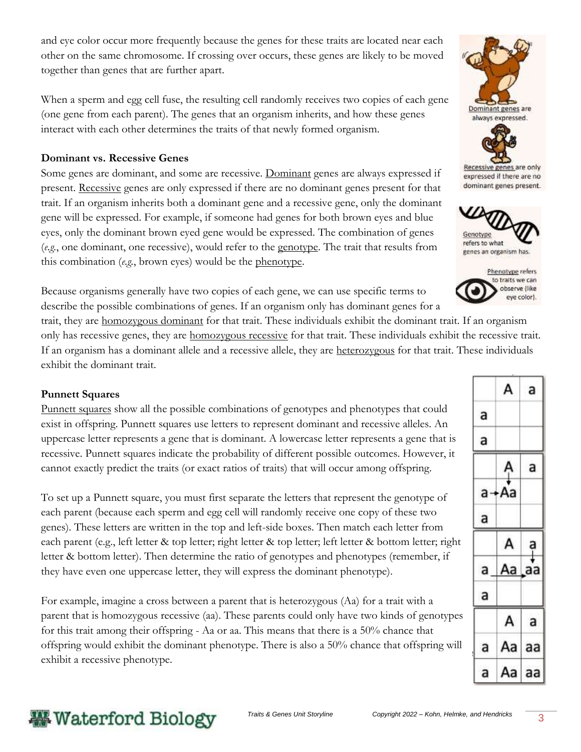and eye color occur more frequently because the genes for these traits are located near each other on the same chromosome. If crossing over occurs, these genes are likely to be moved together than genes that are further apart.

When a sperm and egg cell fuse, the resulting cell randomly receives two copies of each gene (one gene from each parent). The genes that an organism inherits, and how these genes interact with each other determines the traits of that newly formed organism.

#### **Dominant vs. Recessive Genes**

Some genes are dominant, and some are recessive. Dominant genes are always expressed if present. Recessive genes are only expressed if there are no dominant genes present for that trait. If an organism inherits both a dominant gene and a recessive gene, only the dominant gene will be expressed. For example, if someone had genes for both brown eyes and blue eyes, only the dominant brown eyed gene would be expressed. The combination of genes (*e.g.*, one dominant, one recessive), would refer to the genotype. The trait that results from this combination (*e.g.*, brown eyes) would be the phenotype.

Because organisms generally have two copies of each gene, we can use specific terms to describe the possible combinations of genes. If an organism only has dominant genes for a

trait, they are homozygous dominant for that trait. These individuals exhibit the dominant trait. If an organism only has recessive genes, they are homozygous recessive for that trait. These individuals exhibit the recessive trait. If an organism has a dominant allele and a recessive allele, they are heterozygous for that trait. These individuals exhibit the dominant trait.

#### **Punnett Squares**

Punnett squares show all the possible combinations of genotypes and phenotypes that could exist in offspring. Punnett squares use letters to represent dominant and recessive alleles. An uppercase letter represents a gene that is dominant. A lowercase letter represents a gene that is recessive. Punnett squares indicate the probability of different possible outcomes. However, it cannot exactly predict the traits (or exact ratios of traits) that will occur among offspring.

To set up a Punnett square, you must first separate the letters that represent the genotype of each parent (because each sperm and egg cell will randomly receive one copy of these two genes). These letters are written in the top and left-side boxes. Then match each letter from each parent (e.g., left letter & top letter; right letter & top letter; left letter & bottom letter; right letter & bottom letter). Then determine the ratio of genotypes and phenotypes (remember, if they have even one uppercase letter, they will express the dominant phenotype).

For example, imagine a cross between a parent that is heterozygous (Aa) for a trait with a parent that is homozygous recessive (aa). These parents could only have two kinds of genotypes for this trait among their offspring - Aa or aa. This means that there is a 50% chance that offspring would exhibit the dominant phenotype. There is also a 50% chance that offspring will exhibit a recessive phenotype.



Recessive genes are only expressed if there are no dominant genes present.





|   | A             | a             |
|---|---------------|---------------|
| a |               |               |
| a |               |               |
|   | $\frac{A}{I}$ | a             |
| a | Aa            |               |
| a |               |               |
|   | A             | $\frac{a}{t}$ |
| a | Aa aa         |               |
| a |               |               |
|   | A             | a             |
| a | Aa            | aa            |
| a |               | Aa aa         |